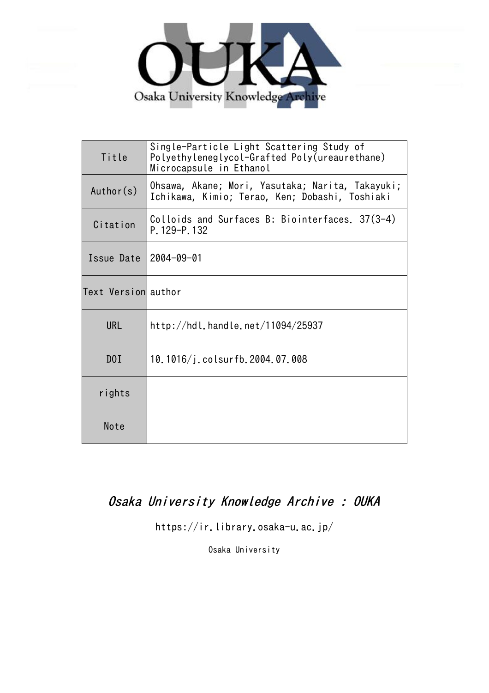

| Title               | Single-Particle Light Scattering Study of<br>Polyethyleneglycol-Grafted Poly(ureaurethane)<br>Microcapsule in Ethanol |  |  |  |
|---------------------|-----------------------------------------------------------------------------------------------------------------------|--|--|--|
| Author(s)           | Ohsawa, Akane; Mori, Yasutaka; Narita, Takayuki;<br>Ichikawa, Kimio; Terao, Ken; Dobashi, Toshiaki                    |  |  |  |
| Citation            | Colloids and Surfaces B: Biointerfaces. 37(3-4)<br>P. 129-P. 132                                                      |  |  |  |
| Issue Date          | $12004 - 09 - 01$                                                                                                     |  |  |  |
| Text Versionlauthor |                                                                                                                       |  |  |  |
| <b>URL</b>          | http://hdl.handle.net/11094/25937                                                                                     |  |  |  |
| D <sub>0</sub> I    | 10.1016/j.colsurfb.2004.07.008                                                                                        |  |  |  |
| rights              |                                                                                                                       |  |  |  |
| Note                |                                                                                                                       |  |  |  |

# Osaka University Knowledge Archive : OUKA

https://ir.library.osaka-u.ac.jp/

Osaka University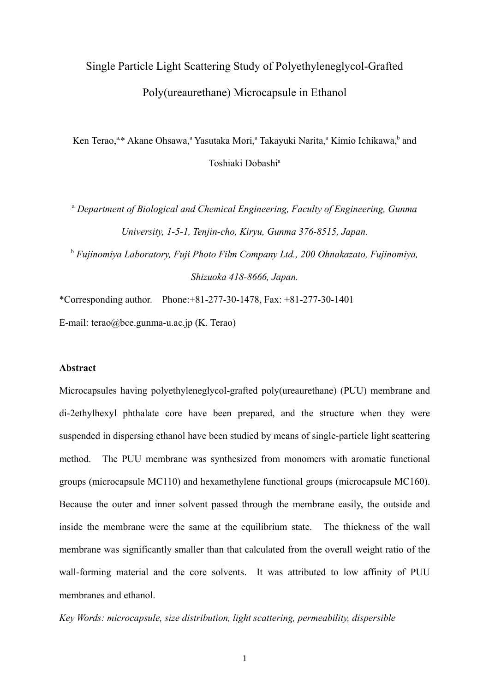# Single Particle Light Scattering Study of Polyethyleneglycol-Grafted Poly(ureaurethane) Microcapsule in Ethanol

Ken Terao,<sup>a,\*</sup> Akane Ohsawa,<sup>a</sup> Yasutaka Mori,<sup>a</sup> Takayuki Narita,<sup>a</sup> Kimio Ichikawa,<sup>b</sup> and Toshiaki Dobashi<sup>a</sup>

<sup>a</sup> Department of Biological and Chemical Engineering, Faculty of Engineering, Gunma *University, 1-5-1, Tenjin-cho, Kiryu, Gunma 376-8515, Japan.*

b  *Fujinomiya Laboratory, Fuji Photo Film Company Ltd., 200 Ohnakazato, Fujinomiya, Shizuoka 418-8666, Japan.*

\*Corresponding author. Phone:+81-277-30-1478, Fax: +81-277-30-1401 E-mail: terao@bce.gunma-u.ac.jp (K. Terao)

# **Abstract**

Microcapsules having polyethyleneglycol-grafted poly(ureaurethane) (PUU) membrane and di-2ethylhexyl phthalate core have been prepared, and the structure when they were suspended in dispersing ethanol have been studied by means of single-particle light scattering method. The PUU membrane was synthesized from monomers with aromatic functional groups (microcapsule MC110) and hexamethylene functional groups (microcapsule MC160). Because the outer and inner solvent passed through the membrane easily, the outside and inside the membrane were the same at the equilibrium state. The thickness of the wall membrane was significantly smaller than that calculated from the overall weight ratio of the wall-forming material and the core solvents. It was attributed to low affinity of PUU membranes and ethanol.

*Key Words: microcapsule, size distribution, light scattering, permeability, dispersible*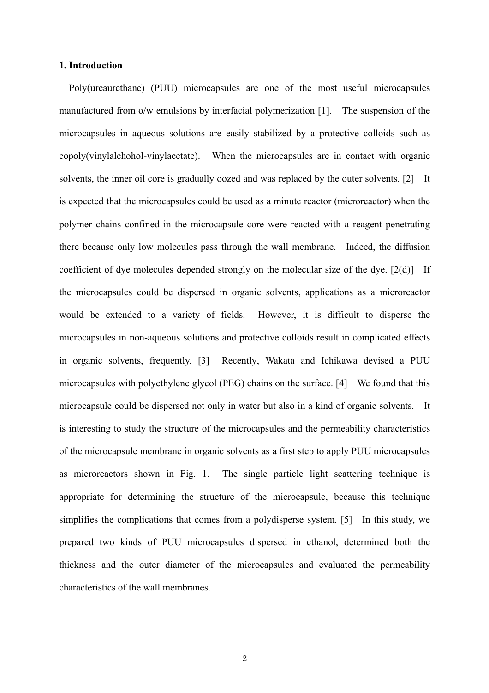### **1. Introduction**

 Poly(ureaurethane) (PUU) microcapsules are one of the most useful microcapsules manufactured from o/w emulsions by interfacial polymerization [1]. The suspension of the microcapsules in aqueous solutions are easily stabilized by a protective colloids such as copoly(vinylalchohol-vinylacetate). When the microcapsules are in contact with organic solvents, the inner oil core is gradually oozed and was replaced by the outer solvents. [2] It is expected that the microcapsules could be used as a minute reactor (microreactor) when the polymer chains confined in the microcapsule core were reacted with a reagent penetrating there because only low molecules pass through the wall membrane. Indeed, the diffusion coefficient of dye molecules depended strongly on the molecular size of the dye. [2(d)] If the microcapsules could be dispersed in organic solvents, applications as a microreactor would be extended to a variety of fields. However, it is difficult to disperse the microcapsules in non-aqueous solutions and protective colloids result in complicated effects in organic solvents, frequently. [3] Recently, Wakata and Ichikawa devised a PUU microcapsules with polyethylene glycol (PEG) chains on the surface. [4] We found that this microcapsule could be dispersed not only in water but also in a kind of organic solvents. It is interesting to study the structure of the microcapsules and the permeability characteristics of the microcapsule membrane in organic solvents as a first step to apply PUU microcapsules as microreactors shown in Fig. 1. The single particle light scattering technique is appropriate for determining the structure of the microcapsule, because this technique simplifies the complications that comes from a polydisperse system. [5] In this study, we prepared two kinds of PUU microcapsules dispersed in ethanol, determined both the thickness and the outer diameter of the microcapsules and evaluated the permeability characteristics of the wall membranes.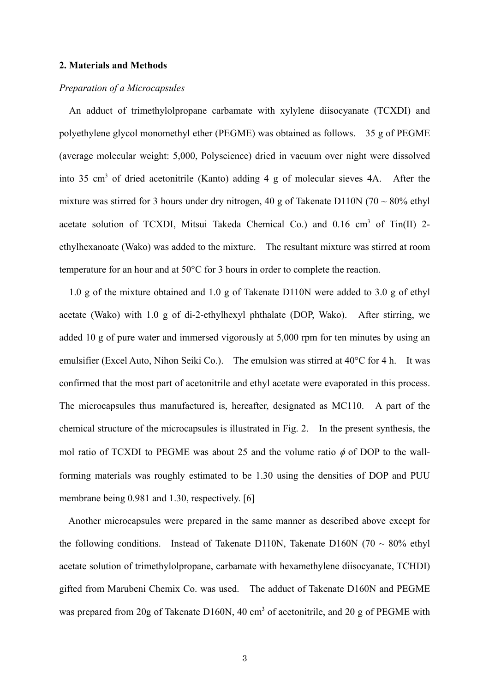#### **2. Materials and Methods**

### *Preparation of a Microcapsules*

 An adduct of trimethylolpropane carbamate with xylylene diisocyanate (TCXDI) and polyethylene glycol monomethyl ether (PEGME) was obtained as follows. 35 g of PEGME (average molecular weight: 5,000, Polyscience) dried in vacuum over night were dissolved into 35 cm<sup>3</sup> of dried acetonitrile (Kanto) adding 4 g of molecular sieves 4A. After the mixture was stirred for 3 hours under dry nitrogen, 40 g of Takenate D110N (70  $\sim$  80% ethyl acetate solution of TCXDI, Mitsui Takeda Chemical Co.) and 0.16 cm<sup>3</sup> of Tin(II) 2ethylhexanoate (Wako) was added to the mixture. The resultant mixture was stirred at room temperature for an hour and at 50°C for 3 hours in order to complete the reaction.

 1.0 g of the mixture obtained and 1.0 g of Takenate D110N were added to 3.0 g of ethyl acetate (Wako) with 1.0 g of di-2-ethylhexyl phthalate (DOP, Wako). After stirring, we added 10 g of pure water and immersed vigorously at 5,000 rpm for ten minutes by using an emulsifier (Excel Auto, Nihon Seiki Co.). The emulsion was stirred at 40°C for 4 h. It was confirmed that the most part of acetonitrile and ethyl acetate were evaporated in this process. The microcapsules thus manufactured is, hereafter, designated as MC110. A part of the chemical structure of the microcapsules is illustrated in Fig. 2. In the present synthesis, the mol ratio of TCXDI to PEGME was about 25 and the volume ratio  $\phi$  of DOP to the wallforming materials was roughly estimated to be 1.30 using the densities of DOP and PUU membrane being 0.981 and 1.30, respectively. [6]

 Another microcapsules were prepared in the same manner as described above except for the following conditions. Instead of Takenate D110N, Takenate D160N (70  $\sim$  80% ethyl acetate solution of trimethylolpropane, carbamate with hexamethylene diisocyanate, TCHDI) gifted from Marubeni Chemix Co. was used. The adduct of Takenate D160N and PEGME was prepared from 20g of Takenate D160N, 40 cm<sup>3</sup> of acetonitrile, and 20 g of PEGME with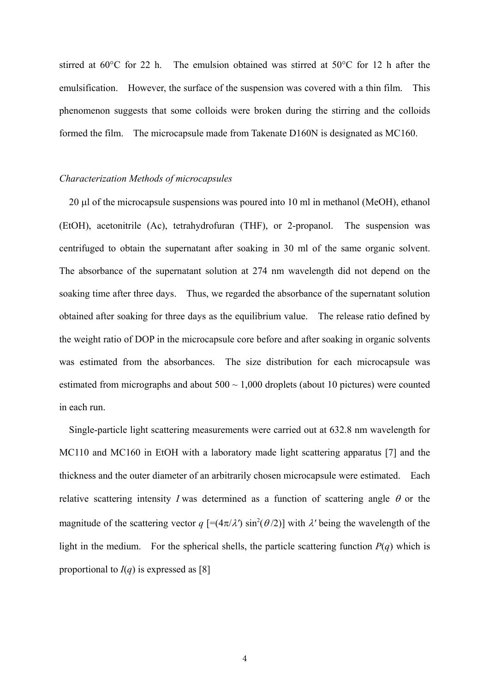stirred at 60°C for 22 h. The emulsion obtained was stirred at 50°C for 12 h after the emulsification. However, the surface of the suspension was covered with a thin film. This phenomenon suggests that some colloids were broken during the stirring and the colloids formed the film. The microcapsule made from Takenate D160N is designated as MC160.

#### *Characterization Methods of microcapsules*

 20 µl of the microcapsule suspensions was poured into 10 ml in methanol (MeOH), ethanol (EtOH), acetonitrile (Ac), tetrahydrofuran (THF), or 2-propanol. The suspension was centrifuged to obtain the supernatant after soaking in 30 ml of the same organic solvent. The absorbance of the supernatant solution at 274 nm wavelength did not depend on the soaking time after three days. Thus, we regarded the absorbance of the supernatant solution obtained after soaking for three days as the equilibrium value. The release ratio defined by the weight ratio of DOP in the microcapsule core before and after soaking in organic solvents was estimated from the absorbances. The size distribution for each microcapsule was estimated from micrographs and about  $500 \sim 1,000$  droplets (about 10 pictures) were counted in each run.

 Single-particle light scattering measurements were carried out at 632.8 nm wavelength for MC110 and MC160 in EtOH with a laboratory made light scattering apparatus [7] and the thickness and the outer diameter of an arbitrarily chosen microcapsule were estimated. Each relative scattering intensity *I* was determined as a function of scattering angle  $\theta$  or the magnitude of the scattering vector  $q$  [=( $4\pi/\lambda$ ) sin<sup>2</sup>( $\theta$ /2)] with  $\lambda$ ' being the wavelength of the light in the medium. For the spherical shells, the particle scattering function  $P(q)$  which is proportional to  $I(q)$  is expressed as [8]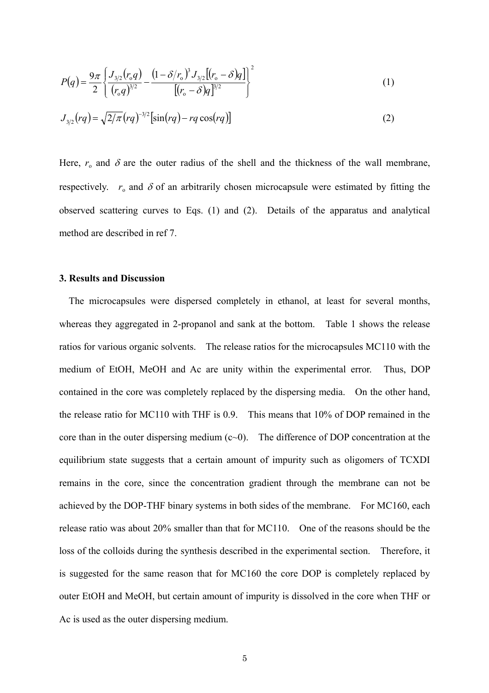$$
P(q) = \frac{9\pi}{2} \left\{ \frac{J_{3/2}(r_0 q)}{(r_0 q)^{3/2}} - \frac{\left(1 - \delta/r_0\right)^3 J_{3/2} \left[(r_0 - \delta)q\right]}{\left[(r_0 - \delta)q\right]^{3/2}} \right\}^2 \tag{1}
$$

$$
J_{3/2}(rq) = \sqrt{2/\pi}(rq)^{-3/2}[\sin(rq) - rq\cos(rq)]
$$
 (2)

Here,  $r_0$  and  $\delta$  are the outer radius of the shell and the thickness of the wall membrane, respectively.  $r_0$  and  $\delta$  of an arbitrarily chosen microcapsule were estimated by fitting the observed scattering curves to Eqs. (1) and (2). Details of the apparatus and analytical method are described in ref 7.

#### **3. Results and Discussion**

 The microcapsules were dispersed completely in ethanol, at least for several months, whereas they aggregated in 2-propanol and sank at the bottom. Table 1 shows the release ratios for various organic solvents. The release ratios for the microcapsules MC110 with the medium of EtOH, MeOH and Ac are unity within the experimental error. Thus, DOP contained in the core was completely replaced by the dispersing media. On the other hand, the release ratio for MC110 with THF is 0.9. This means that 10% of DOP remained in the core than in the outer dispersing medium  $(c<sub>0</sub>)$ . The difference of DOP concentration at the equilibrium state suggests that a certain amount of impurity such as oligomers of TCXDI remains in the core, since the concentration gradient through the membrane can not be achieved by the DOP-THF binary systems in both sides of the membrane. For MC160, each release ratio was about 20% smaller than that for MC110. One of the reasons should be the loss of the colloids during the synthesis described in the experimental section. Therefore, it is suggested for the same reason that for MC160 the core DOP is completely replaced by outer EtOH and MeOH, but certain amount of impurity is dissolved in the core when THF or Ac is used as the outer dispersing medium.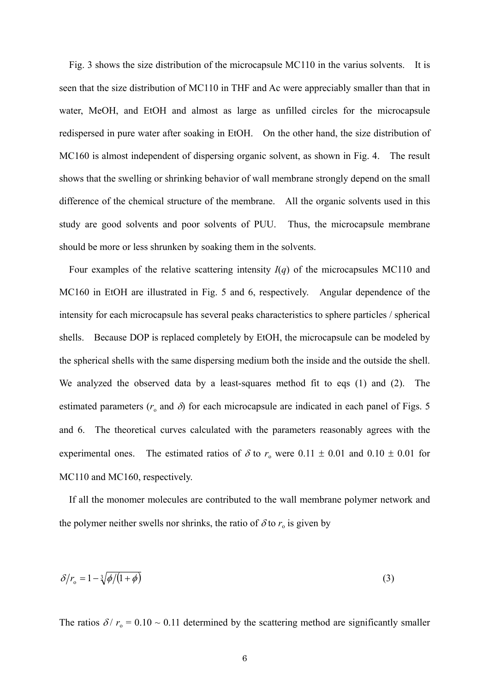Fig. 3 shows the size distribution of the microcapsule MC110 in the varius solvents. It is seen that the size distribution of MC110 in THF and Ac were appreciably smaller than that in water, MeOH, and EtOH and almost as large as unfilled circles for the microcapsule redispersed in pure water after soaking in EtOH. On the other hand, the size distribution of MC160 is almost independent of dispersing organic solvent, as shown in Fig. 4. The result shows that the swelling or shrinking behavior of wall membrane strongly depend on the small difference of the chemical structure of the membrane. All the organic solvents used in this study are good solvents and poor solvents of PUU. Thus, the microcapsule membrane should be more or less shrunken by soaking them in the solvents.

 Four examples of the relative scattering intensity *I*(*q*) of the microcapsules MC110 and MC160 in EtOH are illustrated in Fig. 5 and 6, respectively. Angular dependence of the intensity for each microcapsule has several peaks characteristics to sphere particles / spherical shells. Because DOP is replaced completely by EtOH, the microcapsule can be modeled by the spherical shells with the same dispersing medium both the inside and the outside the shell. We analyzed the observed data by a least-squares method fit to eqs (1) and (2). The estimated parameters ( $r_0$  and  $\delta$ ) for each microcapsule are indicated in each panel of Figs. 5 and 6. The theoretical curves calculated with the parameters reasonably agrees with the experimental ones. The estimated ratios of  $\delta$  to  $r_0$  were 0.11  $\pm$  0.01 and 0.10  $\pm$  0.01 for MC110 and MC160, respectively.

 If all the monomer molecules are contributed to the wall membrane polymer network and the polymer neither swells nor shrinks, the ratio of  $\delta$  to  $r_0$  is given by

$$
\delta/r_{\rm o} = 1 - \sqrt[3]{\phi/(1+\phi)}\tag{3}
$$

The ratios  $\delta / r_0 = 0.10 \sim 0.11$  determined by the scattering method are significantly smaller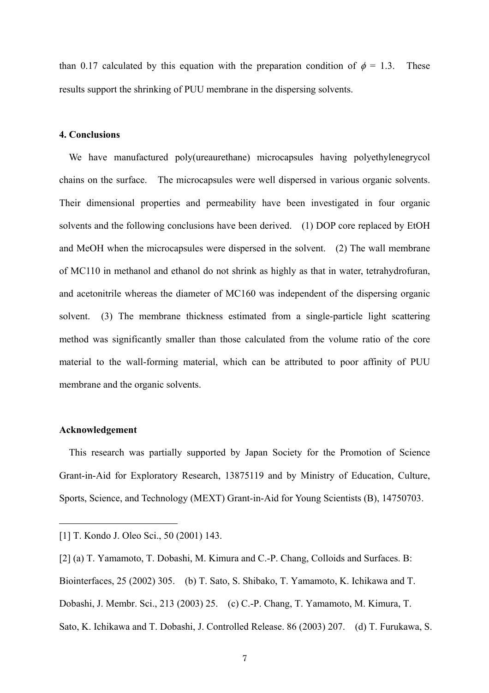than 0.17 calculated by this equation with the preparation condition of  $\phi = 1.3$ . These results support the shrinking of PUU membrane in the dispersing solvents.

# **4. Conclusions**

 We have manufactured poly(ureaurethane) microcapsules having polyethylenegrycol chains on the surface. The microcapsules were well dispersed in various organic solvents. Their dimensional properties and permeability have been investigated in four organic solvents and the following conclusions have been derived. (1) DOP core replaced by EtOH and MeOH when the microcapsules were dispersed in the solvent. (2) The wall membrane of MC110 in methanol and ethanol do not shrink as highly as that in water, tetrahydrofuran, and acetonitrile whereas the diameter of MC160 was independent of the dispersing organic solvent. (3) The membrane thickness estimated from a single-particle light scattering method was significantly smaller than those calculated from the volume ratio of the core material to the wall-forming material, which can be attributed to poor affinity of PUU membrane and the organic solvents.

#### **Acknowledgement**

 $\overline{a}$ 

 This research was partially supported by Japan Society for the Promotion of Science Grant-in-Aid for Exploratory Research, 13875119 and by Ministry of Education, Culture, Sports, Science, and Technology (MEXT) Grant-in-Aid for Young Scientists (B), 14750703.

[1] T. Kondo J. Oleo Sci., 50 (2001) 143.

<sup>[2] (</sup>a) T. Yamamoto, T. Dobashi, M. Kimura and C.-P. Chang, Colloids and Surfaces. B: Biointerfaces, 25 (2002) 305. (b) T. Sato, S. Shibako, T. Yamamoto, K. Ichikawa and T. Dobashi, J. Membr. Sci., 213 (2003) 25. (c) C.-P. Chang, T. Yamamoto, M. Kimura, T. Sato, K. Ichikawa and T. Dobashi, J. Controlled Release. 86 (2003) 207. (d) T. Furukawa, S.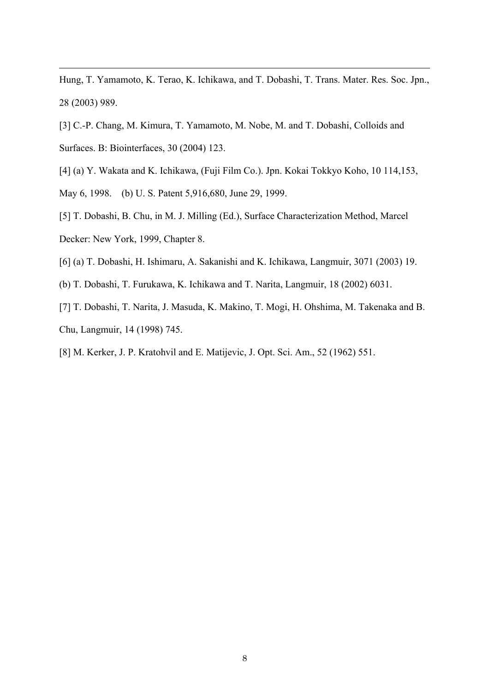Hung, T. Yamamoto, K. Terao, K. Ichikawa, and T. Dobashi, T. Trans. Mater. Res. Soc. Jpn., 28 (2003) 989.

- [3] C.-P. Chang, M. Kimura, T. Yamamoto, M. Nobe, M. and T. Dobashi, Colloids and Surfaces. B: Biointerfaces, 30 (2004) 123.
- [4] (a) Y. Wakata and K. Ichikawa, (Fuji Film Co.). Jpn. Kokai Tokkyo Koho, 10 114,153,
- May 6, 1998. (b) U. S. Patent 5,916,680, June 29, 1999.

 $\overline{a}$ 

- [5] T. Dobashi, B. Chu, in M. J. Milling (Ed.), Surface Characterization Method, Marcel Decker: New York, 1999, Chapter 8.
- [6] (a) T. Dobashi, H. Ishimaru, A. Sakanishi and K. Ichikawa, Langmuir, 3071 (2003) 19.
- (b) T. Dobashi, T. Furukawa, K. Ichikawa and T. Narita, Langmuir, 18 (2002) 6031.
- [7] T. Dobashi, T. Narita, J. Masuda, K. Makino, T. Mogi, H. Ohshima, M. Takenaka and B. Chu, Langmuir, 14 (1998) 745.
- [8] M. Kerker, J. P. Kratohvil and E. Matijevic, J. Opt. Sci. Am., 52 (1962) 551.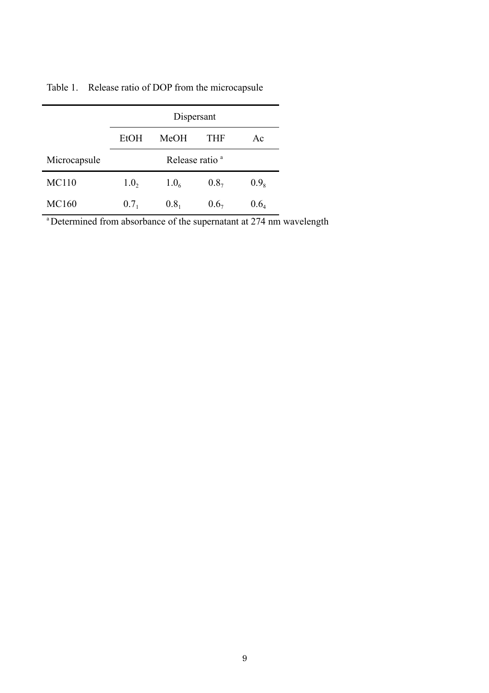|              | Dispersant                 |                  |                  |           |
|--------------|----------------------------|------------------|------------------|-----------|
|              | <b>EtOH</b>                | <b>MeOH</b>      | <b>THF</b>       | Ac        |
| Microcapsule | Release ratio <sup>a</sup> |                  |                  |           |
| <b>MC110</b> | 1.0,                       | 1.0 <sub>6</sub> | 0.8 <sub>7</sub> | $0.9_{8}$ |
| <b>MC160</b> | 0.7 <sub>1</sub>           | 0.8 <sub>1</sub> | 0.6 <sub>7</sub> | $0.6_{4}$ |

Table 1. Release ratio of DOP from the microcapsule

<sup>a</sup> Determined from absorbance of the supernatant at 274 nm wavelength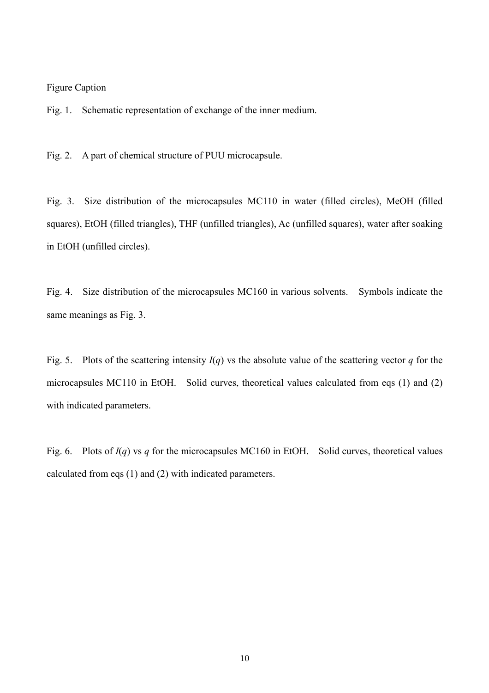# Figure Caption

Fig. 1. Schematic representation of exchange of the inner medium.

Fig. 2. A part of chemical structure of PUU microcapsule.

Fig. 3. Size distribution of the microcapsules MC110 in water (filled circles), MeOH (filled squares), EtOH (filled triangles), THF (unfilled triangles), Ac (unfilled squares), water after soaking in EtOH (unfilled circles).

Fig. 4. Size distribution of the microcapsules MC160 in various solvents. Symbols indicate the same meanings as Fig. 3.

Fig. 5. Plots of the scattering intensity  $I(q)$  vs the absolute value of the scattering vector *q* for the microcapsules MC110 in EtOH. Solid curves, theoretical values calculated from eqs (1) and (2) with indicated parameters.

Fig. 6. Plots of *I*(*q*) vs *q* for the microcapsules MC160 in EtOH. Solid curves, theoretical values calculated from eqs (1) and (2) with indicated parameters.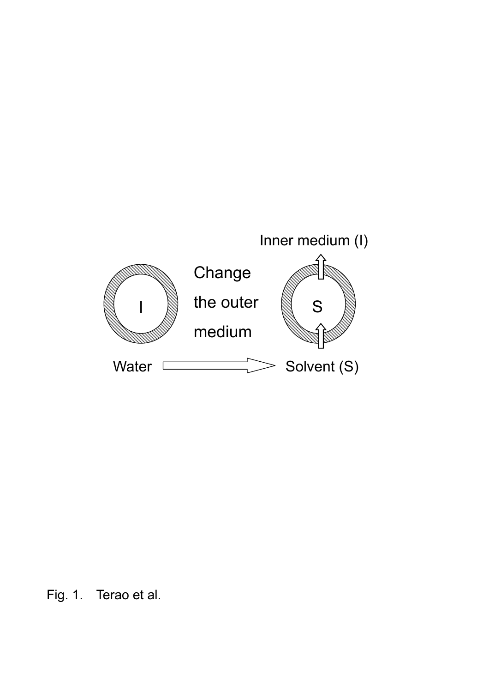

Fig. 1. Terao et al.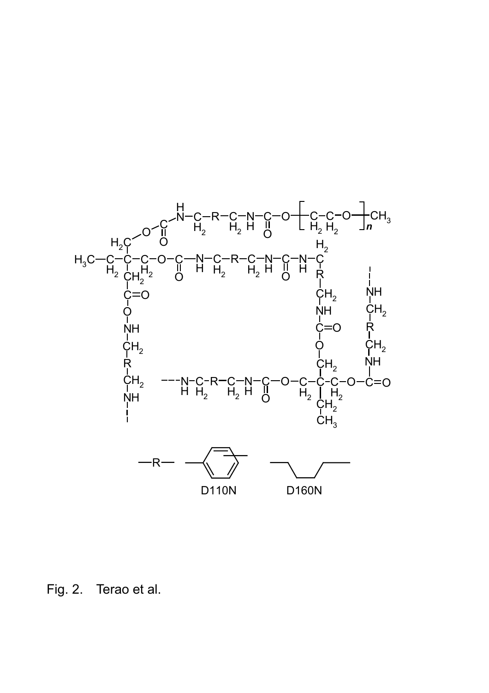

Fig. 2. Terao et al.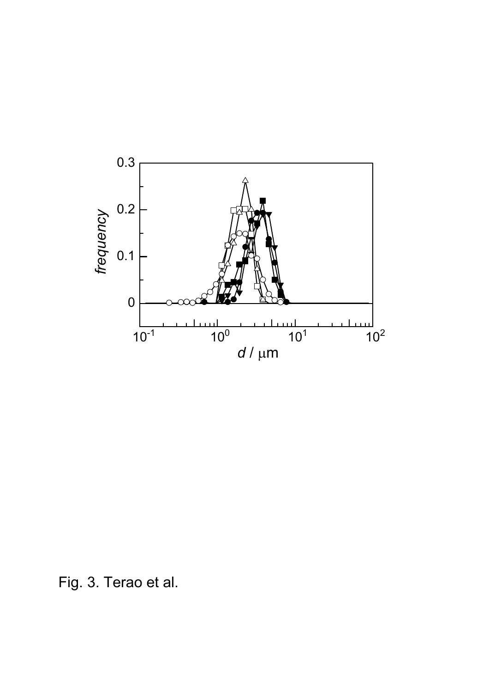

Fig. 3. Terao et al.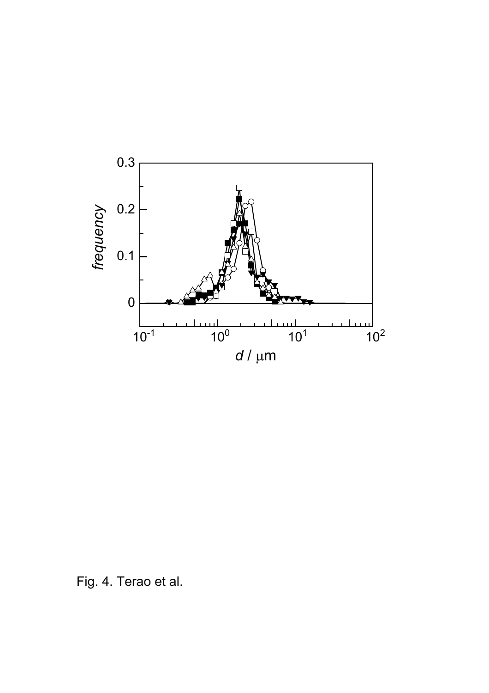

Fig. 4. Terao et al.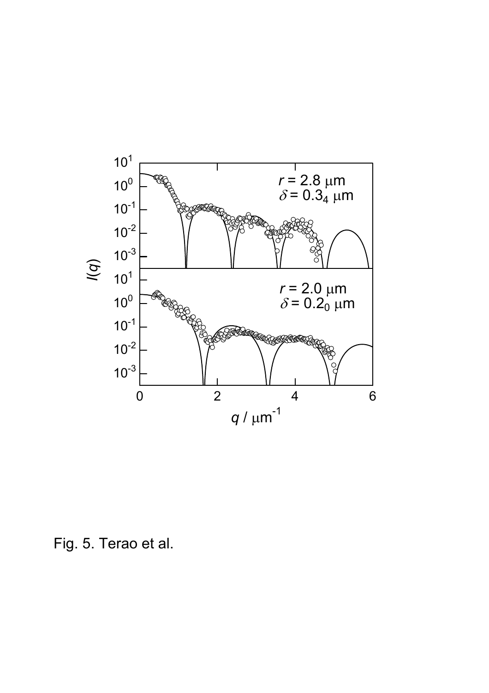

Fig. 5. Terao et al.